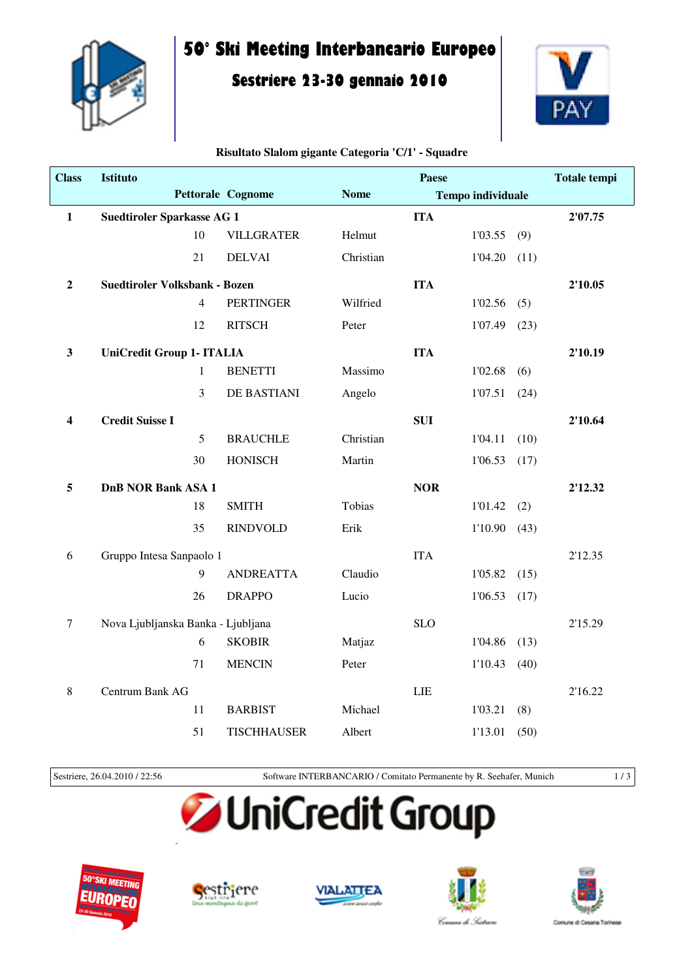

## **50° Ski Meeting Interbancario Europeo**

### **Sestriere 23-30 gennaio 2010**



#### **Risultato Slalom gigante Categoria 'C/1' - Squadre**

| <b>Class</b>     | <b>Istituto</b>                      |                |                    | <b>Paese</b> |            |                          |      | <b>Totale tempi</b> |
|------------------|--------------------------------------|----------------|--------------------|--------------|------------|--------------------------|------|---------------------|
|                  |                                      |                | Pettorale Cognome  | <b>Nome</b>  |            | <b>Tempo individuale</b> |      |                     |
| $\mathbf{1}$     | <b>Suedtiroler Sparkasse AG 1</b>    |                |                    |              | <b>ITA</b> |                          |      | 2'07.75             |
|                  |                                      | 10             | <b>VILLGRATER</b>  | Helmut       |            | 1'03.55                  | (9)  |                     |
|                  |                                      | 21             | <b>DELVAI</b>      | Christian    |            | 1'04.20                  | (11) |                     |
| $\boldsymbol{2}$ | <b>Suedtiroler Volksbank - Bozen</b> |                |                    |              | <b>ITA</b> |                          |      | 2'10.05             |
|                  |                                      | $\overline{4}$ | <b>PERTINGER</b>   | Wilfried     |            | 1'02.56                  | (5)  |                     |
|                  |                                      | 12             | <b>RITSCH</b>      | Peter        |            | 1'07.49                  | (23) |                     |
| $\mathbf{3}$     | <b>UniCredit Group 1- ITALIA</b>     |                |                    |              | <b>ITA</b> |                          |      | 2'10.19             |
|                  |                                      | $\mathbf{1}$   | <b>BENETTI</b>     | Massimo      |            | 1'02.68                  | (6)  |                     |
|                  |                                      | 3              | DE BASTIANI        | Angelo       |            | 1'07.51                  | (24) |                     |
| 4                | <b>Credit Suisse I</b>               |                |                    |              | <b>SUI</b> |                          |      | 2'10.64             |
|                  |                                      | 5              | <b>BRAUCHLE</b>    | Christian    |            | 1'04.11                  | (10) |                     |
|                  |                                      | 30             | <b>HONISCH</b>     | Martin       |            | 1'06.53                  | (17) |                     |
| 5                | <b>DnB NOR Bank ASA 1</b>            |                |                    |              | <b>NOR</b> |                          |      | 2'12.32             |
|                  |                                      | 18             | <b>SMITH</b>       | Tobias       |            | 1'01.42                  | (2)  |                     |
|                  |                                      | 35             | <b>RINDVOLD</b>    | Erik         |            | 1'10.90                  | (43) |                     |
| 6                | Gruppo Intesa Sanpaolo 1             |                |                    |              | <b>ITA</b> |                          |      | 2'12.35             |
|                  |                                      | 9              | <b>ANDREATTA</b>   | Claudio      |            | 1'05.82                  | (15) |                     |
|                  |                                      | 26             | <b>DRAPPO</b>      | Lucio        |            | 1'06.53                  | (17) |                     |
| $\boldsymbol{7}$ | Nova Ljubljanska Banka - Ljubljana   |                |                    |              | <b>SLO</b> |                          |      | 2'15.29             |
|                  |                                      | 6              | <b>SKOBIR</b>      | Matjaz       |            | 1'04.86                  | (13) |                     |
|                  |                                      | 71             | <b>MENCIN</b>      | Peter        |            | 1'10.43                  | (40) |                     |
| 8                | Centrum Bank AG                      |                |                    |              | LIE        |                          |      | 2'16.22             |
|                  |                                      | 11             | <b>BARBIST</b>     | Michael      |            | 1'03.21                  | (8)  |                     |
|                  |                                      | 51             | <b>TISCHHAUSER</b> | Albert       |            | 1'13.01                  | (50) |                     |

Sestriere, 26.04.2010 / 22:56 Software INTERBANCARIO / Comitato Permanente by R. Seehafer, Munich 1 / 3

# **JUniCredit Group**









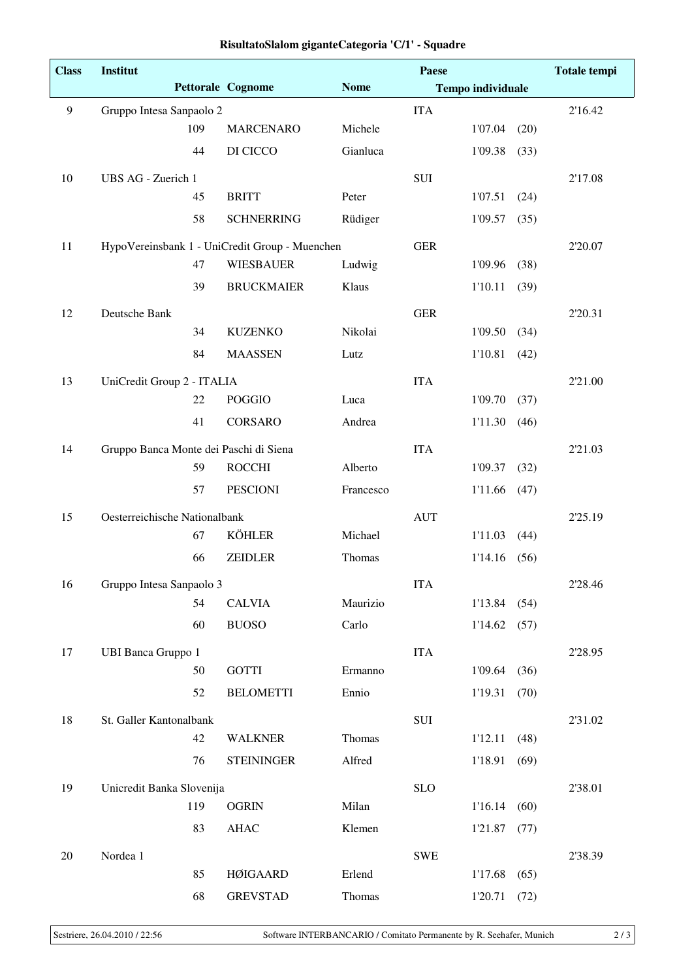| <b>Class</b>     | Institut                                       |                          |             | Paese       |                          |      | <b>Totale tempi</b> |
|------------------|------------------------------------------------|--------------------------|-------------|-------------|--------------------------|------|---------------------|
|                  |                                                | <b>Pettorale Cognome</b> | <b>Nome</b> |             | <b>Tempo individuale</b> |      |                     |
| $\boldsymbol{9}$ | Gruppo Intesa Sanpaolo 2                       |                          |             | <b>ITA</b>  |                          |      | 2'16.42             |
|                  | 109                                            | <b>MARCENARO</b>         | Michele     |             | 1'07.04                  | (20) |                     |
|                  | 44                                             | DI CICCO                 | Gianluca    |             | 1'09.38                  | (33) |                     |
| 10               | UBS AG - Zuerich 1                             |                          |             | SUI         |                          |      | 2'17.08             |
|                  | 45                                             | <b>BRITT</b>             | Peter       |             | 1'07.51                  | (24) |                     |
|                  | 58                                             | <b>SCHNERRING</b>        | Rüdiger     |             | 1'09.57                  | (35) |                     |
| 11               | HypoVereinsbank 1 - UniCredit Group - Muenchen |                          |             | <b>GER</b>  |                          |      | 2'20.07             |
|                  | 47                                             | <b>WIESBAUER</b>         | Ludwig      |             | 1'09.96                  | (38) |                     |
|                  | 39                                             | <b>BRUCKMAIER</b>        | Klaus       |             | 1'10.11                  | (39) |                     |
| 12               | Deutsche Bank                                  |                          |             | <b>GER</b>  |                          |      | 2'20.31             |
|                  | 34                                             | <b>KUZENKO</b>           | Nikolai     |             | 1'09.50                  | (34) |                     |
|                  | 84                                             | <b>MAASSEN</b>           | Lutz        |             | 1'10.81                  | (42) |                     |
| 13               | UniCredit Group 2 - ITALIA                     |                          |             | <b>ITA</b>  |                          |      | 2'21.00             |
|                  | 22                                             | <b>POGGIO</b>            | Luca        |             | 1'09.70                  | (37) |                     |
|                  | 41                                             | <b>CORSARO</b>           | Andrea      |             | 1'11.30                  | (46) |                     |
| 14               | Gruppo Banca Monte dei Paschi di Siena         |                          |             | <b>ITA</b>  |                          |      | 2'21.03             |
|                  | 59                                             | <b>ROCCHI</b>            | Alberto     |             | 1'09.37                  | (32) |                     |
|                  | 57                                             | <b>PESCIONI</b>          | Francesco   |             | 1'11.66                  | (47) |                     |
| 15               | Oesterreichische Nationalbank                  |                          |             | <b>AUT</b>  |                          |      | 2'25.19             |
|                  | 67                                             | <b>KÖHLER</b>            | Michael     |             | 1'11.03                  | (44) |                     |
|                  | 66                                             | <b>ZEIDLER</b>           | Thomas      |             | 1'14.16                  | (56) |                     |
| 16               | Gruppo Intesa Sanpaolo 3                       |                          |             | <b>ITA</b>  |                          |      | 2'28.46             |
|                  | 54                                             | <b>CALVIA</b>            | Maurizio    |             | 1'13.84                  | (54) |                     |
|                  | 60                                             | <b>BUOSO</b>             | Carlo       |             | 1'14.62                  | (57) |                     |
| 17               | UBI Banca Gruppo 1                             |                          |             | <b>ITA</b>  |                          |      | 2'28.95             |
|                  | 50                                             | <b>GOTTI</b>             | Ermanno     |             | 1'09.64                  | (36) |                     |
|                  | 52                                             | <b>BELOMETTI</b>         | Ennio       |             | 1'19.31                  | (70) |                     |
| 18               | St. Galler Kantonalbank                        |                          |             | ${\rm SUI}$ |                          |      | 2'31.02             |
|                  | 42                                             | <b>WALKNER</b>           | Thomas      |             | 1'12.11                  | (48) |                     |
|                  | 76                                             | <b>STEININGER</b>        | Alfred      |             | 1'18.91                  | (69) |                     |
| 19               | Unicredit Banka Slovenija                      |                          |             | <b>SLO</b>  |                          |      | 2'38.01             |
|                  | 119                                            | <b>OGRIN</b>             | Milan       |             | 1'16.14                  | (60) |                     |
|                  | 83                                             | <b>AHAC</b>              | Klemen      |             | 1'21.87                  | (77) |                     |
| 20               | Nordea 1                                       |                          |             | <b>SWE</b>  |                          |      | 2'38.39             |
|                  | 85                                             | <b>HØIGAARD</b>          | Erlend      |             | 1'17.68                  | (65) |                     |
|                  | 68                                             | <b>GREVSTAD</b>          | Thomas      |             | 1'20.71                  | (72) |                     |

#### **RisultatoSlalom giganteCategoria 'C/1' - Squadre**